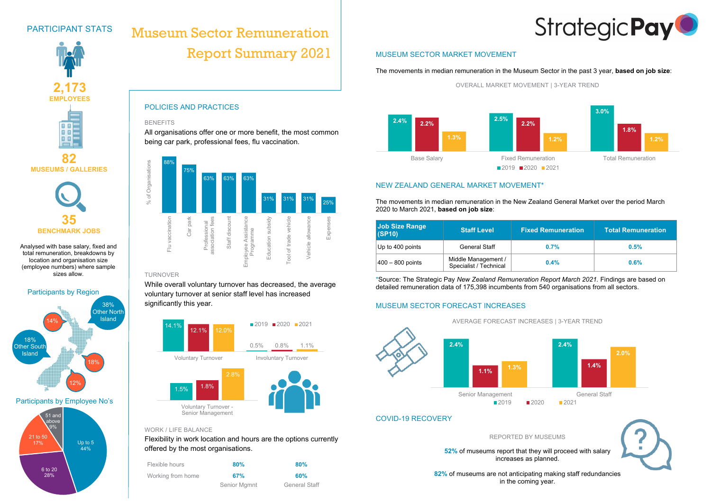

#### **BENEFITS**

All organisations offer one or more benefit, the most common being car park, professional fees, flu vaccination.

#### TURNOVER

While overall voluntary turnover has decreased, the average voluntary turnover at senior staff level has increased significantly this year.

### WORK / LIFE BALANCE

Flexibility in work location and hours are the options currently offered by the most organisations.

| Flexible hours    | 80%          | 80%                  |  |
|-------------------|--------------|----------------------|--|
| Working from home | 67%          | 60%                  |  |
|                   | Senior Mgmnt | <b>General Staff</b> |  |









### **82 MUSEUMS / GALLERIES**



# PARTICIPANT STATS

Analysed with base salary, fixed and total remuneration, breakdowns by location and organisation size (employee numbers) where sample sizes allow.

## MUSEUM SECTOR MARKET MOVEMENT

The movements in median remuneration in the Museum Sector in the past 3 year, **based on job size**:

OVERALL MARKET MOVEMENT | 3-YEAR TREND

## NEW ZEALAND GENERAL MARKET MOVEMENT\*

The movements in median remuneration in the New Zealand General Market over the period March 2020 to March 2021, **based on job size**:

| <b>Job Size Range</b><br>(SP10) | <b>Staff Level</b>                            | <b>Fixed Remuneration</b> | <b>Total Remuneration</b> |
|---------------------------------|-----------------------------------------------|---------------------------|---------------------------|
| Up to 400 points                | <b>General Staff</b>                          | 0.7%                      | 0.5%                      |
| $400 - 800$ points              | Middle Management /<br>Specialist / Technical | $0.4\%$                   | 0.6%                      |

\*Source: The Strategic Pay *New Zealand Remuneration Report March 2021.* Findings are based on detailed remuneration data of 175,398 incumbents from 540 organisations from all sectors.

# MUSEUM SECTOR FORECAST INCREASES

### COVID-19 RECOVERY

REPORTED BY MUSEUMS

#### **52%** of museums report that they will proceed with salary increases as planned.

**82%** of museums are not anticipating making staff redundancies in the coming year.

| Flexible hours    | 80%          |  |
|-------------------|--------------|--|
| Vorking from home | 67%          |  |
|                   | Senior Mamnt |  |









# Museum Sector Remuneration Report Summary 2021





6 to 20 28%